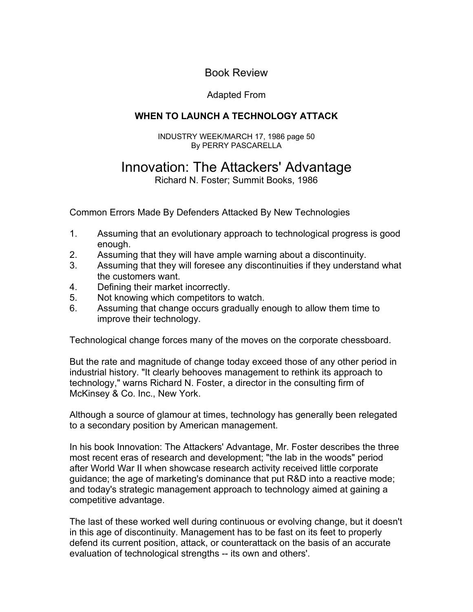Book Review

## Adapted From

## **WHEN TO LAUNCH A TECHNOLOGY ATTACK**

INDUSTRY WEEK/MARCH 17, 1986 page 50 By PERRY PASCARELLA

## Innovation: The Attackers' Advantage

Richard N. Foster; Summit Books, 1986

Common Errors Made By Defenders Attacked By New Technologies

- 1. Assuming that an evolutionary approach to technological progress is good enough.
- 2. Assuming that they will have ample warning about a discontinuity.
- 3. Assuming that they will foresee any discontinuities if they understand what the customers want.
- 4. Defining their market incorrectly.
- 5. Not knowing which competitors to watch.
- 6. Assuming that change occurs gradually enough to allow them time to improve their technology.

Technological change forces many of the moves on the corporate chessboard.

But the rate and magnitude of change today exceed those of any other period in industrial history. "It clearly behooves management to rethink its approach to technology," warns Richard N. Foster, a director in the consulting firm of McKinsey & Co. Inc., New York.

Although a source of glamour at times, technology has generally been relegated to a secondary position by American management.

In his book Innovation: The Attackers' Advantage, Mr. Foster describes the three most recent eras of research and development; "the lab in the woods" period after World War II when showcase research activity received little corporate guidance; the age of marketing's dominance that put R&D into a reactive mode; and today's strategic management approach to technology aimed at gaining a competitive advantage.

evaluation of technological strengths -- its own and others'. defend its current position, attack, or counterattack on the basis of an accurate in this age of discontinuity. Management has to be fast on its feet to properly The last of these worked well during continuous or evolving change, but it doesn't